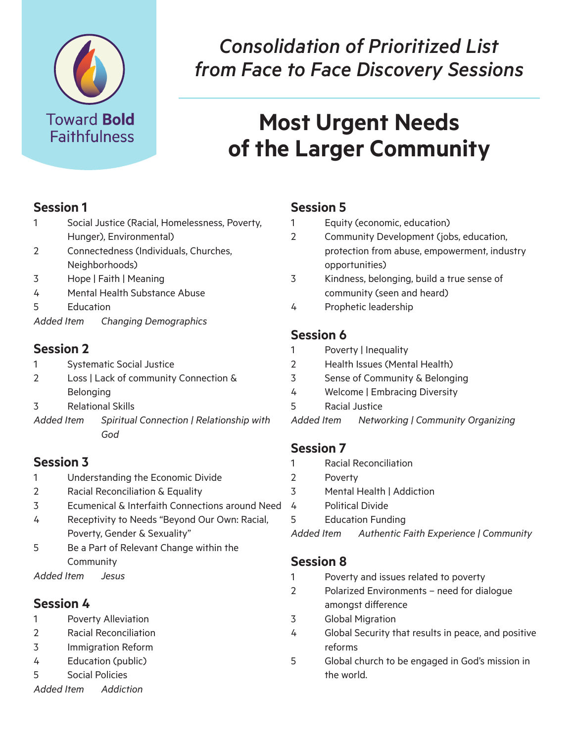

# *Consolidation of Prioritized List from Face to Face Discovery Sessions*

# **Most Urgent Needs of the Larger Community**

#### **Session 1**

- 1 Social Justice (Racial, Homelessness, Poverty, Hunger), Environmental)
- 2 Connectedness (Individuals, Churches, Neighborhoods)
- 3 Hope | Faith | Meaning
- 4 Mental Health Substance Abuse
- 5 Education
- *Added Item Changing Demographics*

#### **Session 2**

- 1 Systematic Social Justice 2 Loss | Lack of community Connection &
- Belonging 3 Relational Skills
- *Added Item Spiritual Connection | Relationship with God*

# **Session 3**

- 1 Understanding the Economic Divide
- 2 Racial Reconciliation & Equality
- 3 Ecumenical & Interfaith Connections around Need
- 4 Receptivity to Needs "Beyond Our Own: Racial, Poverty, Gender & Sexuality"
- 5 Be a Part of Relevant Change within the **Community**

*Added Item Jesus* 

#### **Session 4**

- 1 Poverty Alleviation
- 2 Racial Reconciliation
- 3 Immigration Reform
- 4 Education (public)
- 5 Social Policies

## **Session 5**

- 1 Equity (economic, education)
- 2 Community Development (jobs, education, protection from abuse, empowerment, industry opportunities)
- 3 Kindness, belonging, build a true sense of community (seen and heard)
- 4 Prophetic leadership

## **Session 6**

- 1 Poverty | Inequality
- 2 Health Issues (Mental Health)
- 3 Sense of Community & Belonging
- 4 Welcome | Embracing Diversity
- 5 Racial Justice

*Added Item Networking | Community Organizing* 

#### **Session 7**

- 1 Racial Reconciliation
- 2 Poverty
- 3 Mental Health | Addiction
- 4 Political Divide
- 5 Education Funding

*Added Item Authentic Faith Experience | Community* 

# **Session 8**

- 1 Poverty and issues related to poverty
- 2 Polarized Environments need for dialogue amongst difference
- 3 Global Migration
- 4 Global Security that results in peace, and positive reforms
- 5 Global church to be engaged in God's mission in the world.

*Added Item Addiction*